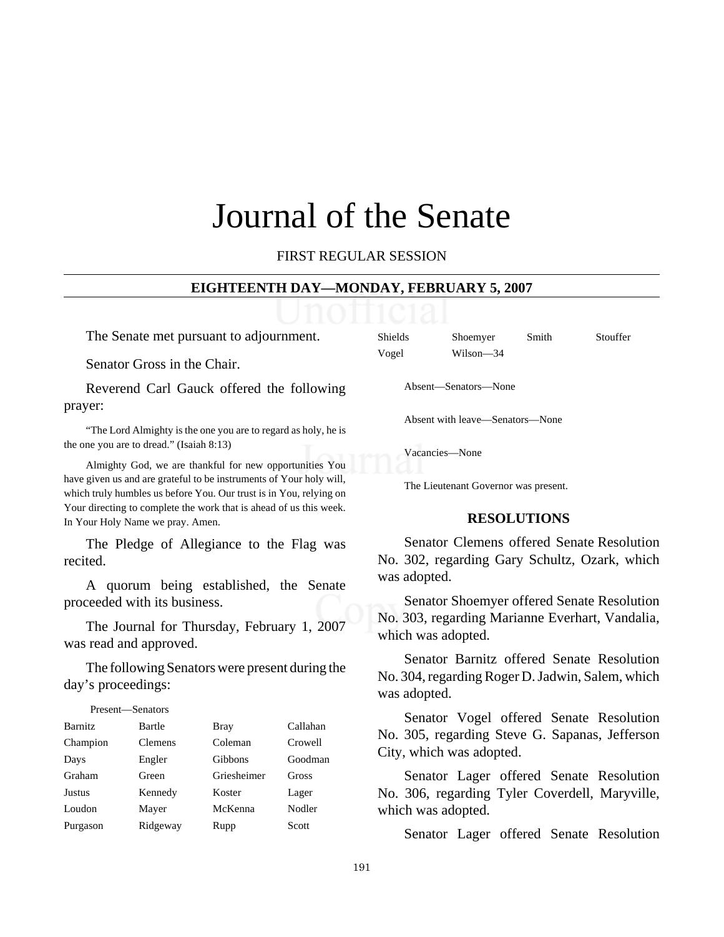# Journal of the Senate

FIRST REGULAR SESSION

#### **EIGHTEENTH DAY—MONDAY, FEBRUARY 5, 2007**

The Senate met pursuant to adjournment.

Senator Gross in the Chair.

Reverend Carl Gauck offered the following prayer:

"The Lord Almighty is the one you are to regard as holy, he is the one you are to dread." (Isaiah 8:13)

Almighty God, we are thankful for new opportunities You have given us and are grateful to be instruments of Your holy will, which truly humbles us before You. Our trust is in You, relying on Your directing to complete the work that is ahead of us this week. In Your Holy Name we pray. Amen.

The Pledge of Allegiance to the Flag was recited.

A quorum being established, the Senate proceeded with its business.

The Journal for Thursday, February 1, 2007 was read and approved.

The following Senators were present during the day's proceedings:

Present—Senators

| Present—Senators |          |                |          |
|------------------|----------|----------------|----------|
| <b>Barnitz</b>   | Bartle   | <b>Bray</b>    | Callahan |
| Champion         | Clemens  | Coleman        | Crowell  |
| Days             | Engler   | <b>Gibbons</b> | Goodman  |
| Graham           | Green    | Griesheimer    | Gross    |
| <b>Justus</b>    | Kennedy  | Koster         | Lager    |
| Loudon           | Mayer    | McKenna        | Nodler   |
| Purgason         | Ridgeway | Rupp           | Scott    |

| <b>Shields</b> | Shoemyer  | Smith | Stouffer |
|----------------|-----------|-------|----------|
| Vogel          | Wilson-34 |       |          |

Absent—Senators—None

Absent with leave—Senators—None

Vacancies—None

The Lieutenant Governor was present.

#### **RESOLUTIONS**

 Senator Clemens offered Senate Resolution No. 302, regarding Gary Schultz, Ozark, which was adopted.

Senator Shoemyer offered Senate Resolution No. 303, regarding Marianne Everhart, Vandalia, which was adopted.

Senator Barnitz offered Senate Resolution No. 304, regarding Roger D. Jadwin, Salem, which was adopted.

Senator Vogel offered Senate Resolution No. 305, regarding Steve G. Sapanas, Jefferson City, which was adopted.

Senator Lager offered Senate Resolution No. 306, regarding Tyler Coverdell, Maryville, which was adopted.

Senator Lager offered Senate Resolution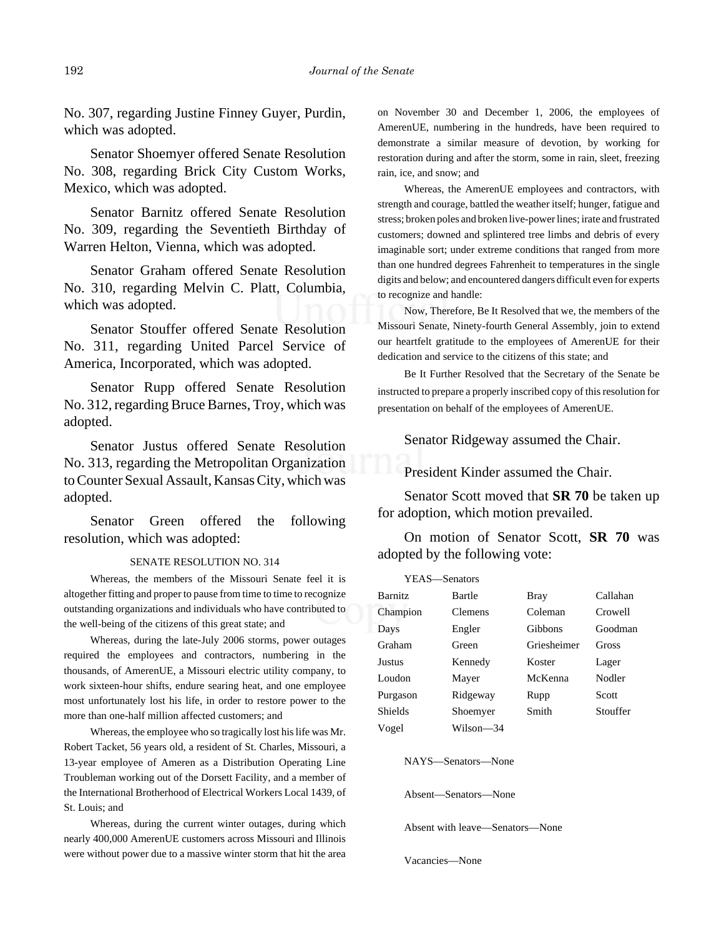No. 307, regarding Justine Finney Guyer, Purdin, which was adopted.

Senator Shoemyer offered Senate Resolution No. 308, regarding Brick City Custom Works, Mexico, which was adopted.

Senator Barnitz offered Senate Resolution No. 309, regarding the Seventieth Birthday of Warren Helton, Vienna, which was adopted.

Senator Graham offered Senate Resolution No. 310, regarding Melvin C. Platt, Columbia, which was adopted.

Senator Stouffer offered Senate Resolution No. 311, regarding United Parcel Service of America, Incorporated, which was adopted.

Senator Rupp offered Senate Resolution No. 312, regarding Bruce Barnes, Troy, which was adopted.

Senator Justus offered Senate Resolution No. 313, regarding the Metropolitan Organization to Counter Sexual Assault, Kansas City, which was adopted.

Senator Green offered the following resolution, which was adopted:

#### SENATE RESOLUTION NO. 314

Whereas, the members of the Missouri Senate feel it is altogether fitting and proper to pause from time to time to recognize outstanding organizations and individuals who have contributed to the well-being of the citizens of this great state; and

Whereas, during the late-July 2006 storms, power outages required the employees and contractors, numbering in the thousands, of AmerenUE, a Missouri electric utility company, to work sixteen-hour shifts, endure searing heat, and one employee most unfortunately lost his life, in order to restore power to the more than one-half million affected customers; and

Whereas, the employee who so tragically lost his life was Mr. Robert Tacket, 56 years old, a resident of St. Charles, Missouri, a 13-year employee of Ameren as a Distribution Operating Line Troubleman working out of the Dorsett Facility, and a member of the International Brotherhood of Electrical Workers Local 1439, of St. Louis; and

Whereas, during the current winter outages, during which nearly 400,000 AmerenUE customers across Missouri and Illinois were without power due to a massive winter storm that hit the area

on November 30 and December 1, 2006, the employees of AmerenUE, numbering in the hundreds, have been required to demonstrate a similar measure of devotion, by working for restoration during and after the storm, some in rain, sleet, freezing rain, ice, and snow; and

Whereas, the AmerenUE employees and contractors, with strength and courage, battled the weather itself; hunger, fatigue and stress; broken poles and broken live-power lines; irate and frustrated customers; downed and splintered tree limbs and debris of every imaginable sort; under extreme conditions that ranged from more than one hundred degrees Fahrenheit to temperatures in the single digits and below; and encountered dangers difficult even for experts to recognize and handle:

Now, Therefore, Be It Resolved that we, the members of the Missouri Senate, Ninety-fourth General Assembly, join to extend our heartfelt gratitude to the employees of AmerenUE for their dedication and service to the citizens of this state; and

Be It Further Resolved that the Secretary of the Senate be instructed to prepare a properly inscribed copy of this resolution for presentation on behalf of the employees of AmerenUE.

Senator Ridgeway assumed the Chair.

President Kinder assumed the Chair.

Senator Scott moved that **SR 70** be taken up for adoption, which motion prevailed.

On motion of Senator Scott, **SR 70** was adopted by the following vote:

| YEAS—Senators  |                |             |          |
|----------------|----------------|-------------|----------|
| <b>Barnitz</b> | Bartle         | Bray        | Callahan |
| Champion       | <b>Clemens</b> | Coleman     | Crowell  |
| Days           | Engler         | Gibbons     | Goodman  |
| Graham         | Green          | Griesheimer | Gross    |
| Justus         | Kennedy        | Koster      | Lager    |
| Loudon         | Mayer          | McKenna     | Nodler   |
| Purgason       | Ridgeway       | Rupp        | Scott    |
| <b>Shields</b> | Shoemyer       | Smith       | Stouffer |
| Vogel          | Wilson-34      |             |          |

NAYS—Senators—None

Absent—Senators—None

Absent with leave—Senators—None

Vacancies—None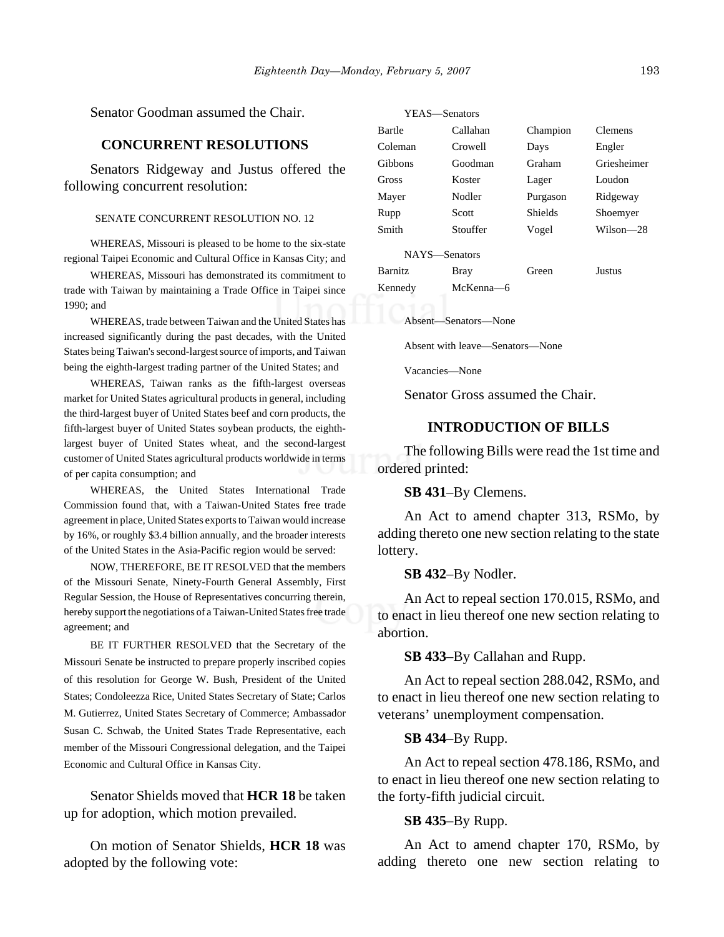Senator Goodman assumed the Chair.

#### **CONCURRENT RESOLUTIONS**

Senators Ridgeway and Justus offered the following concurrent resolution:

#### SENATE CONCURRENT RESOLUTION NO. 12

WHEREAS, Missouri is pleased to be home to the six-state regional Taipei Economic and Cultural Office in Kansas City; and

WHEREAS, Missouri has demonstrated its commitment to trade with Taiwan by maintaining a Trade Office in Taipei since 1990; and

WHEREAS, trade between Taiwan and the United States has increased significantly during the past decades, with the United States being Taiwan's second-largest source of imports, and Taiwan being the eighth-largest trading partner of the United States; and

WHEREAS, Taiwan ranks as the fifth-largest overseas market for United States agricultural products in general, including the third-largest buyer of United States beef and corn products, the fifth-largest buyer of United States soybean products, the eighthlargest buyer of United States wheat, and the second-largest customer of United States agricultural products worldwide in terms of per capita consumption; and

WHEREAS, the United States International Trade Commission found that, with a Taiwan-United States free trade agreement in place, United States exports to Taiwan would increase by 16%, or roughly \$3.4 billion annually, and the broader interests of the United States in the Asia-Pacific region would be served:

NOW, THEREFORE, BE IT RESOLVED that the members of the Missouri Senate, Ninety-Fourth General Assembly, First Regular Session, the House of Representatives concurring therein, hereby support the negotiations of a Taiwan-United States free trade agreement; and

BE IT FURTHER RESOLVED that the Secretary of the Missouri Senate be instructed to prepare properly inscribed copies of this resolution for George W. Bush, President of the United States; Condoleezza Rice, United States Secretary of State; Carlos M. Gutierrez, United States Secretary of Commerce; Ambassador Susan C. Schwab, the United States Trade Representative, each member of the Missouri Congressional delegation, and the Taipei Economic and Cultural Office in Kansas City.

Senator Shields moved that **HCR 18** be taken up for adoption, which motion prevailed.

On motion of Senator Shields, **HCR 18** was adopted by the following vote:

| YEAS—Senators  |           |          |                |  |
|----------------|-----------|----------|----------------|--|
| Bartle         | Callahan  | Champion | <b>Clemens</b> |  |
| Coleman        | Crowell   | Days     | Engler         |  |
| Gibbons        | Goodman   | Graham   | Griesheimer    |  |
| Gross          | Koster    | Lager    | Loudon         |  |
| Mayer          | Nodler    | Purgason | Ridgeway       |  |
| Rupp           | Scott     | Shields  | Shoemyer       |  |
| Smith          | Stouffer  | Vogel    | $Wilson-28$    |  |
| NAYS-Senators  |           |          |                |  |
| <b>Barnitz</b> | Bray      | Green    | Justus         |  |
| Kennedy        | McKenna-6 |          |                |  |

Absent—Senators—None

Absent with leave—Senators—None

Vacancies—None

Senator Gross assumed the Chair.

#### **INTRODUCTION OF BILLS**

The following Bills were read the 1st time and ordered printed:

**SB 431**–By Clemens.

An Act to amend chapter 313, RSMo, by adding thereto one new section relating to the state lottery.

**SB 432**–By Nodler.

An Act to repeal section 170.015, RSMo, and to enact in lieu thereof one new section relating to abortion.

**SB 433**–By Callahan and Rupp.

An Act to repeal section 288.042, RSMo, and to enact in lieu thereof one new section relating to veterans' unemployment compensation.

## **SB 434**–By Rupp.

An Act to repeal section 478.186, RSMo, and to enact in lieu thereof one new section relating to the forty-fifth judicial circuit.

#### **SB 435**–By Rupp.

An Act to amend chapter 170, RSMo, by adding thereto one new section relating to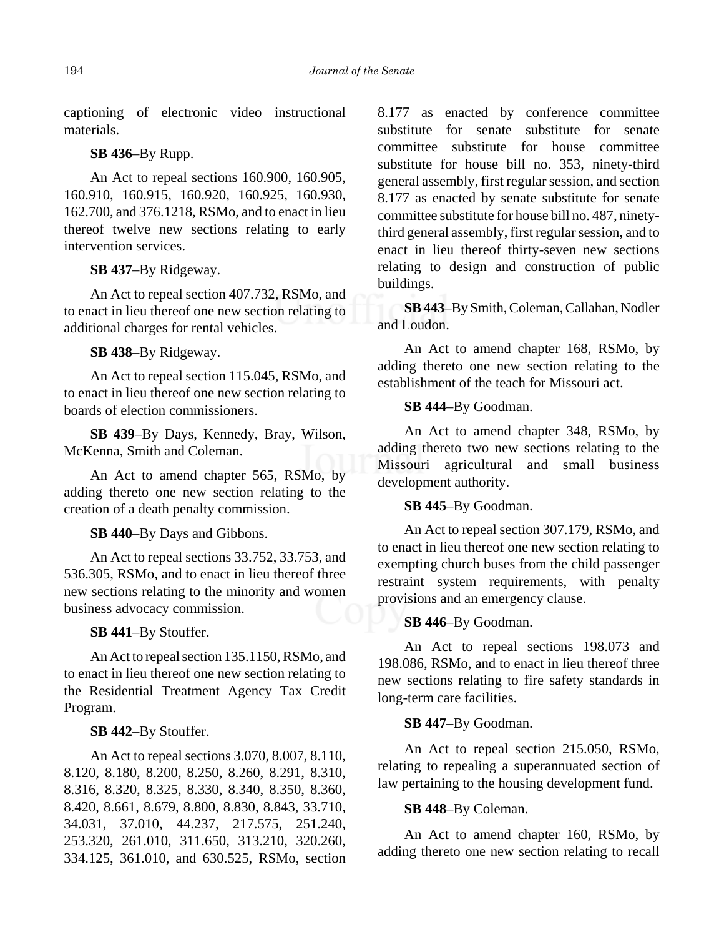captioning of electronic video instructional materials.

## **SB 436**–By Rupp.

An Act to repeal sections 160.900, 160.905, 160.910, 160.915, 160.920, 160.925, 160.930, 162.700, and 376.1218, RSMo, and to enact in lieu thereof twelve new sections relating to early intervention services.

#### **SB 437**–By Ridgeway.

An Act to repeal section 407.732, RSMo, and to enact in lieu thereof one new section relating to additional charges for rental vehicles.

#### **SB 438**–By Ridgeway.

An Act to repeal section 115.045, RSMo, and to enact in lieu thereof one new section relating to boards of election commissioners.

**SB 439**–By Days, Kennedy, Bray, Wilson, McKenna, Smith and Coleman.

An Act to amend chapter 565, RSMo, by adding thereto one new section relating to the creation of a death penalty commission.

**SB 440**–By Days and Gibbons.

An Act to repeal sections 33.752, 33.753, and 536.305, RSMo, and to enact in lieu thereof three new sections relating to the minority and women business advocacy commission.

#### **SB 441**–By Stouffer.

An Act to repeal section 135.1150, RSMo, and to enact in lieu thereof one new section relating to the Residential Treatment Agency Tax Credit Program.

#### **SB 442**–By Stouffer.

An Act to repeal sections 3.070, 8.007, 8.110, 8.120, 8.180, 8.200, 8.250, 8.260, 8.291, 8.310, 8.316, 8.320, 8.325, 8.330, 8.340, 8.350, 8.360, 8.420, 8.661, 8.679, 8.800, 8.830, 8.843, 33.710, 34.031, 37.010, 44.237, 217.575, 251.240, 253.320, 261.010, 311.650, 313.210, 320.260, 334.125, 361.010, and 630.525, RSMo, section

8.177 as enacted by conference committee substitute for senate substitute for senate committee substitute for house committee substitute for house bill no. 353, ninety-third general assembly, first regular session, and section 8.177 as enacted by senate substitute for senate committee substitute for house bill no. 487, ninetythird general assembly, first regular session, and to enact in lieu thereof thirty-seven new sections relating to design and construction of public buildings.

**SB 443**–By Smith, Coleman, Callahan, Nodler and Loudon.

An Act to amend chapter 168, RSMo, by adding thereto one new section relating to the establishment of the teach for Missouri act.

#### **SB 444**–By Goodman.

An Act to amend chapter 348, RSMo, by adding thereto two new sections relating to the Missouri agricultural and small business development authority.

## **SB 445**–By Goodman.

An Act to repeal section 307.179, RSMo, and to enact in lieu thereof one new section relating to exempting church buses from the child passenger restraint system requirements, with penalty provisions and an emergency clause.

#### **SB 446**–By Goodman.

An Act to repeal sections 198.073 and 198.086, RSMo, and to enact in lieu thereof three new sections relating to fire safety standards in long-term care facilities.

#### **SB 447**–By Goodman.

An Act to repeal section 215.050, RSMo, relating to repealing a superannuated section of law pertaining to the housing development fund.

#### **SB 448**–By Coleman.

An Act to amend chapter 160, RSMo, by adding thereto one new section relating to recall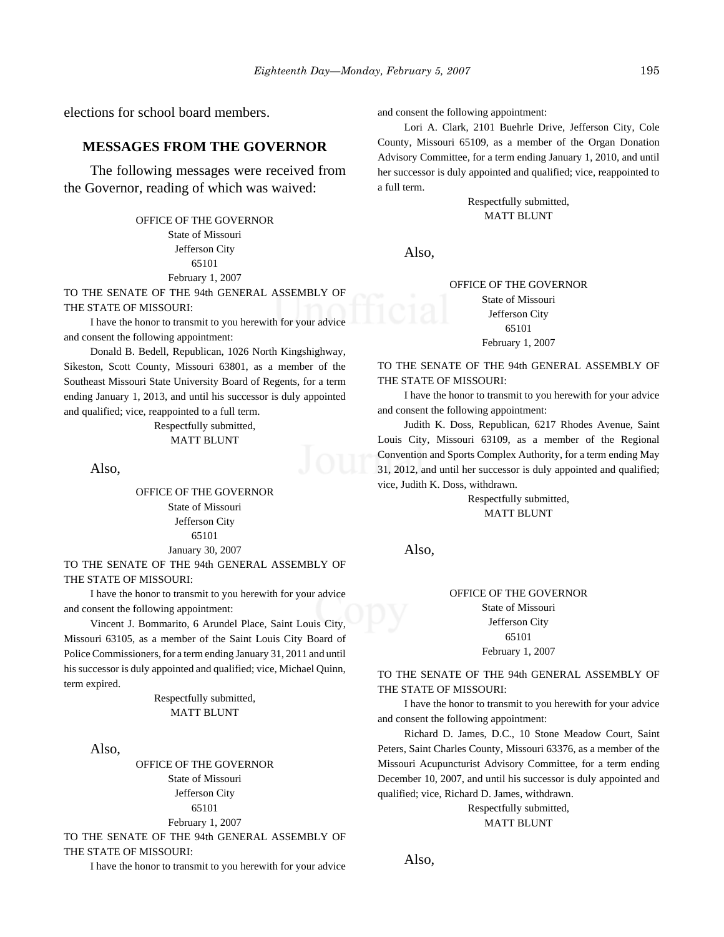elections for school board members.

#### **MESSAGES FROM THE GOVERNOR**

The following messages were received from the Governor, reading of which was waived:

## OFFICE OF THE GOVERNOR State of Missouri Jefferson City 65101 February 1, 2007

TO THE SENATE OF THE 94th GENERAL ASSEMBLY OF THE STATE OF MISSOURI:

I have the honor to transmit to you herewith for your advice and consent the following appointment:

Donald B. Bedell, Republican, 1026 North Kingshighway, Sikeston, Scott County, Missouri 63801, as a member of the Southeast Missouri State University Board of Regents, for a term ending January 1, 2013, and until his successor is duly appointed and qualified; vice, reappointed to a full term.

> Respectfully submitted, MATT BLUNT

Also,

OFFICE OF THE GOVERNOR State of Missouri Jefferson City 65101 January 30, 2007

TO THE SENATE OF THE 94th GENERAL ASSEMBLY OF THE STATE OF MISSOURI:

I have the honor to transmit to you herewith for your advice and consent the following appointment:

Vincent J. Bommarito, 6 Arundel Place, Saint Louis City, Missouri 63105, as a member of the Saint Louis City Board of Police Commissioners, for a term ending January 31, 2011 and until his successor is duly appointed and qualified; vice, Michael Quinn, term expired.

> Respectfully submitted, MATT BLUNT

Also,

OFFICE OF THE GOVERNOR State of Missouri Jefferson City 65101 February 1, 2007

TO THE SENATE OF THE 94th GENERAL ASSEMBLY OF THE STATE OF MISSOURI:

I have the honor to transmit to you herewith for your advice

and consent the following appointment:

Lori A. Clark, 2101 Buehrle Drive, Jefferson City, Cole County, Missouri 65109, as a member of the Organ Donation Advisory Committee, for a term ending January 1, 2010, and until her successor is duly appointed and qualified; vice, reappointed to a full term.

> Respectfully submitted, MATT BLUNT

Also,

#### OFFICE OF THE GOVERNOR State of Missouri Jefferson City 65101 February 1, 2007

#### TO THE SENATE OF THE 94th GENERAL ASSEMBLY OF THE STATE OF MISSOURI:

I have the honor to transmit to you herewith for your advice and consent the following appointment:

Judith K. Doss, Republican, 6217 Rhodes Avenue, Saint Louis City, Missouri 63109, as a member of the Regional Convention and Sports Complex Authority, for a term ending May 31, 2012, and until her successor is duly appointed and qualified; vice, Judith K. Doss, withdrawn.

> Respectfully submitted, MATT BLUNT

Also,

#### OFFICE OF THE GOVERNOR State of Missouri Jefferson City 65101 February 1, 2007

TO THE SENATE OF THE 94th GENERAL ASSEMBLY OF THE STATE OF MISSOURI:

I have the honor to transmit to you herewith for your advice and consent the following appointment:

Richard D. James, D.C., 10 Stone Meadow Court, Saint Peters, Saint Charles County, Missouri 63376, as a member of the Missouri Acupuncturist Advisory Committee, for a term ending December 10, 2007, and until his successor is duly appointed and qualified; vice, Richard D. James, withdrawn.

> Respectfully submitted, MATT BLUNT

Also,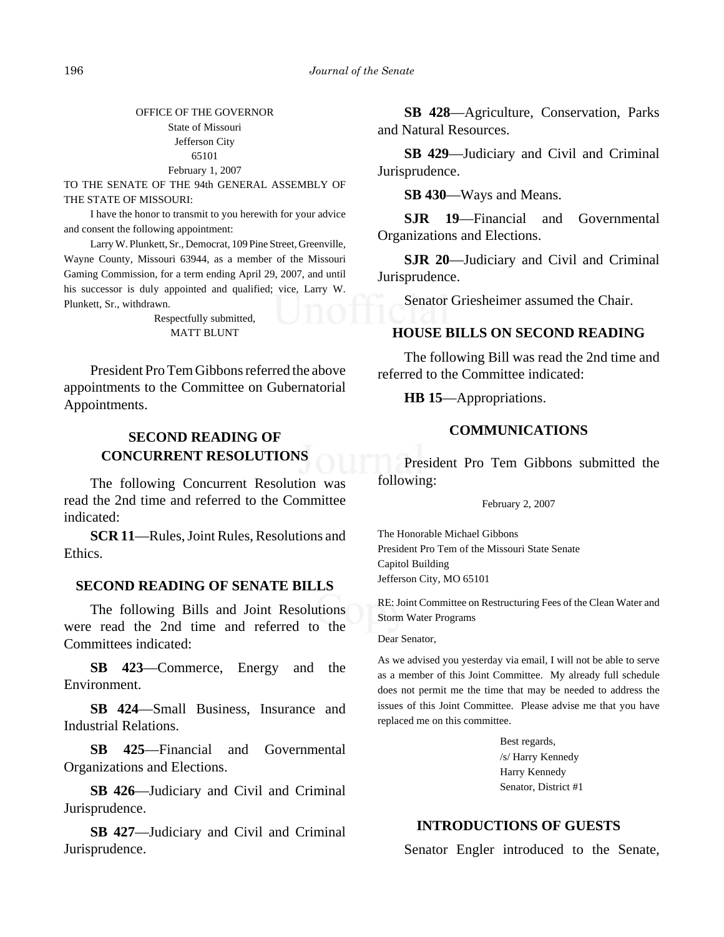OFFICE OF THE GOVERNOR State of Missouri Jefferson City 65101 February 1, 2007

TO THE SENATE OF THE 94th GENERAL ASSEMBLY OF THE STATE OF MISSOURI:

I have the honor to transmit to you herewith for your advice and consent the following appointment:

Larry W. Plunkett, Sr., Democrat, 109 Pine Street, Greenville, Wayne County, Missouri 63944, as a member of the Missouri Gaming Commission, for a term ending April 29, 2007, and until his successor is duly appointed and qualified; vice, Larry W. Plunkett, Sr., withdrawn.

> Respectfully submitted, MATT BLUNT

President Pro Tem Gibbons referred the above appointments to the Committee on Gubernatorial Appointments.

# **SECOND READING OF CONCURRENT RESOLUTIONS**

The following Concurrent Resolution was read the 2nd time and referred to the Committee indicated:

**SCR 11**—Rules, Joint Rules, Resolutions and Ethics.

## **SECOND READING OF SENATE BILLS**

The following Bills and Joint Resolutions were read the 2nd time and referred to the Committees indicated:

**SB 423**—Commerce, Energy and the Environment.

**SB 424**—Small Business, Insurance and Industrial Relations.

**SB 425**—Financial and Governmental Organizations and Elections.

**SB 426**—Judiciary and Civil and Criminal Jurisprudence.

**SB 427**—Judiciary and Civil and Criminal Jurisprudence.

**SB 428**—Agriculture, Conservation, Parks and Natural Resources.

**SB 429**—Judiciary and Civil and Criminal Jurisprudence.

**SB 430**—Ways and Means.

**SJR 19**—Financial and Governmental Organizations and Elections.

**SJR 20**—Judiciary and Civil and Criminal Jurisprudence.

Senator Griesheimer assumed the Chair.

## **HOUSE BILLS ON SECOND READING**

The following Bill was read the 2nd time and referred to the Committee indicated:

**HB 15**—Appropriations.

## **COMMUNICATIONS**

President Pro Tem Gibbons submitted the following:

February 2, 2007

The Honorable Michael Gibbons President Pro Tem of the Missouri State Senate Capitol Building Jefferson City, MO 65101

RE: Joint Committee on Restructuring Fees of the Clean Water and Storm Water Programs

#### Dear Senator,

As we advised you yesterday via email, I will not be able to serve as a member of this Joint Committee. My already full schedule does not permit me the time that may be needed to address the issues of this Joint Committee. Please advise me that you have replaced me on this committee.

> Best regards, /s/ Harry Kennedy Harry Kennedy Senator, District #1

## **INTRODUCTIONS OF GUESTS**

Senator Engler introduced to the Senate,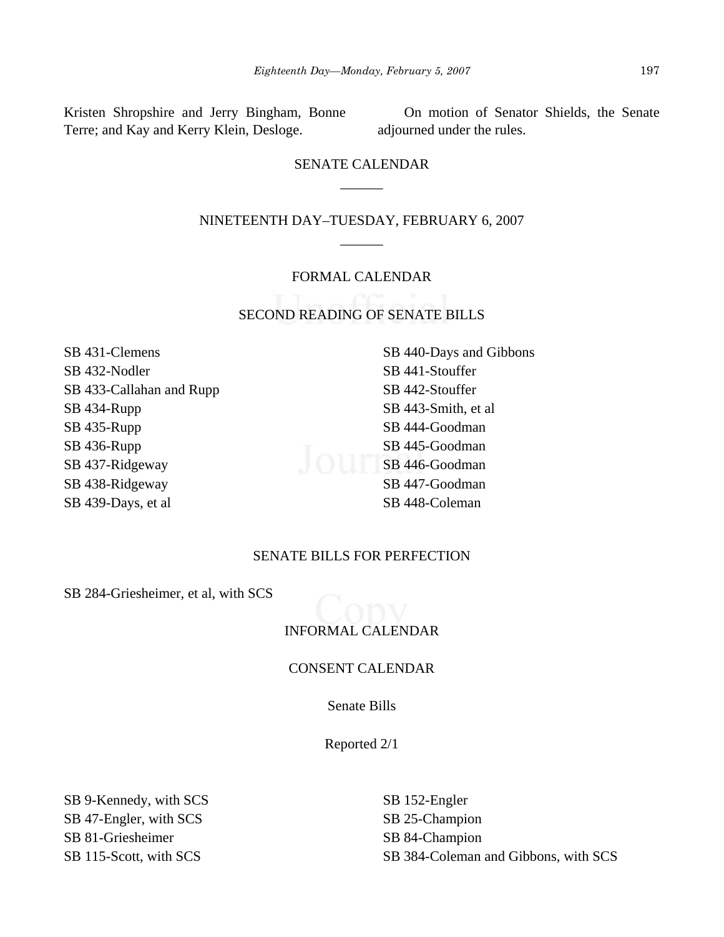Kristen Shropshire and Jerry Bingham, Bonne Terre; and Kay and Kerry Klein, Desloge.

On motion of Senator Shields, the Senate adjourned under the rules.

# SENATE CALENDAR  $\overline{\phantom{a}}$

## NINETEENTH DAY–TUESDAY, FEBRUARY 6, 2007 \_\_\_\_\_\_

#### FORMAL CALENDAR

## SECOND READING OF SENATE BILLS

- SB 431-Clemens SB 432-Nodler SB 433-Callahan and Rupp SB 434-Rupp SB 435-Rupp SB 436-Rupp SB 437-Ridgeway SB 438-Ridgeway SB 439-Days, et al
- SB 440-Days and Gibbons SB 441-Stouffer SB 442-Stouffer SB 443-Smith, et al SB 444-Goodman SB 445-Goodman SB 446-Goodman SB 447-Goodman SB 448-Coleman

## SENATE BILLS FOR PERFECTION

SB 284-Griesheimer, et al, with SCS

## INFORMAL CALENDAR

#### CONSENT CALENDAR

Senate Bills

Reported 2/1

SB 9-Kennedy, with SCS SB 47-Engler, with SCS SB 81-Griesheimer SB 115-Scott, with SCS

SB 152-Engler SB 25-Champion SB 84-Champion SB 384-Coleman and Gibbons, with SCS